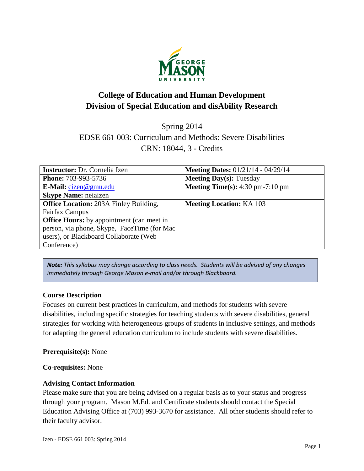

# **College of Education and Human Development Division of Special Education and disAbility Research**

Spring 2014

EDSE 661 003: Curriculum and Methods: Severe Disabilities CRN: 18044, 3 - Credits

| <b>Instructor:</b> Dr. Cornelia Izen             | <b>Meeting Dates:</b> $01/21/14 - 04/29/14$               |
|--------------------------------------------------|-----------------------------------------------------------|
| <b>Phone: 703-993-5736</b>                       | <b>Meeting Day(s): Tuesday</b>                            |
| E-Mail: $cizen@gmu.edu$                          | <b>Meeting Time(s):</b> $4:30 \text{ pm}-7:10 \text{ pm}$ |
| <b>Skype Name: neiaizen</b>                      |                                                           |
| <b>Office Location: 203A Finley Building,</b>    | <b>Meeting Location: KA 103</b>                           |
| Fairfax Campus                                   |                                                           |
| <b>Office Hours:</b> by appointment (can meet in |                                                           |
| person, via phone, Skype, FaceTime (for Mac)     |                                                           |
| users), or Blackboard Collaborate (Web           |                                                           |
| Conference)                                      |                                                           |

*Note: This syllabus may change according to class needs. Students will be advised of any changes immediately through George Mason e-mail and/or through Blackboard.*

# **Course Description**

Focuses on current best practices in curriculum, and methods for students with severe disabilities, including specific strategies for teaching students with severe disabilities, general strategies for working with heterogeneous groups of students in inclusive settings, and methods for adapting the general education curriculum to include students with severe disabilities.

# **Prerequisite(s):** None

#### **Co-requisites:** None

# **Advising Contact Information**

Please make sure that you are being advised on a regular basis as to your status and progress through your program. Mason M.Ed. and Certificate students should contact the Special Education Advising Office at (703) 993-3670 for assistance. All other students should refer to their faculty advisor.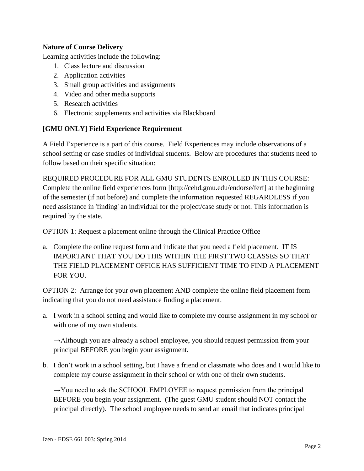# **Nature of Course Delivery**

Learning activities include the following:

- 1. Class lecture and discussion
- 2. Application activities
- 3. Small group activities and assignments
- 4. Video and other media supports
- 5. Research activities
- 6. Electronic supplements and activities via Blackboard

# **[GMU ONLY] Field Experience Requirement**

A Field Experience is a part of this course. Field Experiences may include observations of a school setting or case studies of individual students. Below are procedures that students need to follow based on their specific situation:

REQUIRED PROCEDURE FOR ALL GMU STUDENTS ENROLLED IN THIS COURSE: Complete the online field experiences form [http://cehd.gmu.edu/endorse/ferf] at the beginning of the semester (if not before) and complete the information requested REGARDLESS if you need assistance in 'finding' an individual for the project/case study or not. This information is required by the state.

OPTION 1: Request a placement online through the Clinical Practice Office

a. Complete the online request form and indicate that you need a field placement. IT IS IMPORTANT THAT YOU DO THIS WITHIN THE FIRST TWO CLASSES SO THAT THE FIELD PLACEMENT OFFICE HAS SUFFICIENT TIME TO FIND A PLACEMENT FOR YOU.

OPTION 2: Arrange for your own placement AND complete the online field placement form indicating that you do not need assistance finding a placement.

a. I work in a school setting and would like to complete my course assignment in my school or with one of my own students.

 $\rightarrow$ Although you are already a school employee, you should request permission from your principal BEFORE you begin your assignment.

b. I don't work in a school setting, but I have a friend or classmate who does and I would like to complete my course assignment in their school or with one of their own students.

 $\rightarrow$ You need to ask the SCHOOL EMPLOYEE to request permission from the principal BEFORE you begin your assignment. (The guest GMU student should NOT contact the principal directly). The school employee needs to send an email that indicates principal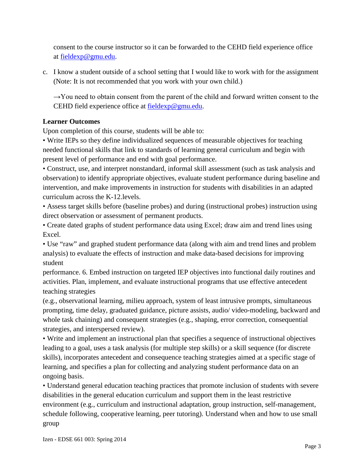consent to the course instructor so it can be forwarded to the CEHD field experience office at [fieldexp@gmu.edu.](mailto:fieldexp@gmu.edu)

c. I know a student outside of a school setting that I would like to work with for the assignment (Note: It is not recommended that you work with your own child.)

 $\rightarrow$ You need to obtain consent from the parent of the child and forward written consent to the CEHD field experience office at [fieldexp@gmu.edu.](mailto:fieldexp@gmu.edu)

# **Learner Outcomes**

Upon completion of this course, students will be able to:

• Write IEPs so they define individualized sequences of measurable objectives for teaching needed functional skills that link to standards of learning general curriculum and begin with present level of performance and end with goal performance.

• Construct, use, and interpret nonstandard, informal skill assessment (such as task analysis and observation) to identify appropriate objectives, evaluate student performance during baseline and intervention, and make improvements in instruction for students with disabilities in an adapted curriculum across the K-12.levels.

• Assess target skills before (baseline probes) and during (instructional probes) instruction using direct observation or assessment of permanent products.

• Create dated graphs of student performance data using Excel; draw aim and trend lines using Excel.

• Use "raw" and graphed student performance data (along with aim and trend lines and problem analysis) to evaluate the effects of instruction and make data-based decisions for improving student

performance. 6. Embed instruction on targeted IEP objectives into functional daily routines and activities. Plan, implement, and evaluate instructional programs that use effective antecedent teaching strategies

(e.g., observational learning, milieu approach, system of least intrusive prompts, simultaneous prompting, time delay, graduated guidance, picture assists, audio/ video-modeling, backward and whole task chaining) and consequent strategies (e.g., shaping, error correction, consequential strategies, and interspersed review).

• Write and implement an instructional plan that specifies a sequence of instructional objectives leading to a goal, uses a task analysis (for multiple step skills) or a skill sequence (for discrete skills), incorporates antecedent and consequence teaching strategies aimed at a specific stage of learning, and specifies a plan for collecting and analyzing student performance data on an ongoing basis.

• Understand general education teaching practices that promote inclusion of students with severe disabilities in the general education curriculum and support them in the least restrictive environment (e.g., curriculum and instructional adaptation, group instruction, self-management, schedule following, cooperative learning, peer tutoring). Understand when and how to use small group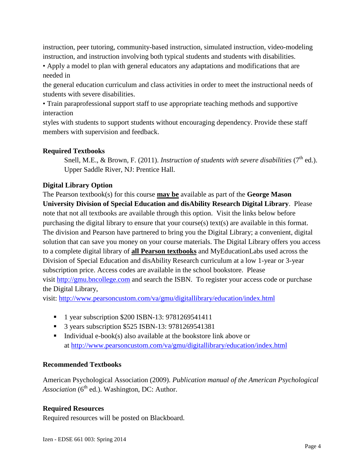instruction, peer tutoring, community-based instruction, simulated instruction, video-modeling instruction, and instruction involving both typical students and students with disabilities.

• Apply a model to plan with general educators any adaptations and modifications that are needed in

the general education curriculum and class activities in order to meet the instructional needs of students with severe disabilities.

• Train paraprofessional support staff to use appropriate teaching methods and supportive interaction

styles with students to support students without encouraging dependency. Provide these staff members with supervision and feedback.

# **Required Textbooks**

Snell, M.E., & Brown, F. (2011). *Instruction of students with severe disabilities* (7<sup>th</sup> ed.). Upper Saddle River, NJ: Prentice Hall.

# **Digital Library Option**

The Pearson textbook(s) for this course **may be** available as part of the **George Mason University Division of Special Education and disAbility Research Digital Library**. Please note that not all textbooks are available through this option. Visit the links below before purchasing the digital library to ensure that your course(s) text(s) are available in this format. The division and Pearson have partnered to bring you the Digital Library; a convenient, digital solution that can save you money on your course materials. The Digital Library offers you access to a complete digital library of **all Pearson textbooks** and MyEducationLabs used across the Division of Special Education and disAbility Research curriculum at a low 1-year or 3-year subscription price. Access codes are available in the school bookstore. Please visit [http://gmu.bncollege.com](http://gmu.bncollege.com/webapp/wcs/stores/servlet/BNCBHomePage?storeId=15552&catalogId=10001&langId=-1) and search the ISBN. To register your access code or purchase the Digital Library,

visit: <http://www.pearsoncustom.com/va/gmu/digitallibrary/education/index.html>

- <sup>1</sup> 1 year subscription \$200 ISBN-13: 9781269541411
- 3 years subscription \$525 ISBN-13: 9781269541381
- Individual e-book(s) also available at the bookstore link above or at<http://www.pearsoncustom.com/va/gmu/digitallibrary/education/index.html>

# **Recommended Textbooks**

American Psychological Association (2009). *Publication manual of the American Psychological Association* (6<sup>th</sup> ed.). Washington, DC: Author.

# **Required Resources**

Required resources will be posted on Blackboard.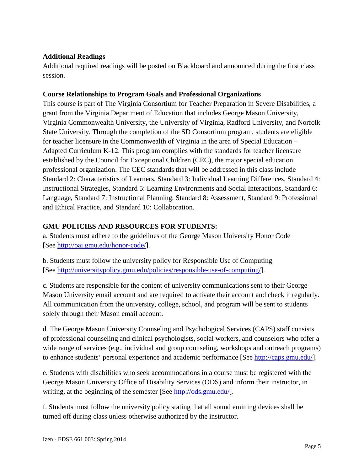## **Additional Readings**

Additional required readings will be posted on Blackboard and announced during the first class session.

## **Course Relationships to Program Goals and Professional Organizations**

This course is part of The Virginia Consortium for Teacher Preparation in Severe Disabilities, a grant from the Virginia Department of Education that includes George Mason University, Virginia Commonwealth University, the University of Virginia, Radford University, and Norfolk State University. Through the completion of the SD Consortium program, students are eligible for teacher licensure in the Commonwealth of Virginia in the area of Special Education – Adapted Curriculum K-12. This program complies with the standards for teacher licensure established by the Council for Exceptional Children (CEC), the major special education professional organization. The CEC standards that will be addressed in this class include Standard 2: Characteristics of Learners, Standard 3: Individual Learning Differences, Standard 4: Instructional Strategies, Standard 5: Learning Environments and Social Interactions, Standard 6: Language, Standard 7: Instructional Planning, Standard 8: Assessment, Standard 9: Professional and Ethical Practice, and Standard 10: Collaboration.

# **GMU POLICIES AND RESOURCES FOR STUDENTS:**

a. Students must adhere to the guidelines of the George Mason University Honor Code [See [http://oai.gmu.edu/honor-code/\]](http://oai.gmu.edu/honor-code/).

b. Students must follow the university policy for Responsible Use of Computing [See [http://universitypolicy.gmu.edu/policies/responsible-use-of-computing/\]](http://universitypolicy.gmu.edu/policies/responsible-use-of-computing/).

c. Students are responsible for the content of university communications sent to their George Mason University email account and are required to activate their account and check it regularly. All communication from the university, college, school, and program will be sent to students solely through their Mason email account.

d. The George Mason University Counseling and Psychological Services (CAPS) staff consists of professional counseling and clinical psychologists, social workers, and counselors who offer a wide range of services (e.g., individual and group counseling, workshops and outreach programs) to enhance students' personal experience and academic performance [See [http://caps.gmu.edu/\]](http://caps.gmu.edu/).

e. Students with disabilities who seek accommodations in a course must be registered with the George Mason University Office of Disability Services (ODS) and inform their instructor, in writing, at the beginning of the semester [See [http://ods.gmu.edu/\]](http://ods.gmu.edu/).

f. Students must follow the university policy stating that all sound emitting devices shall be turned off during class unless otherwise authorized by the instructor.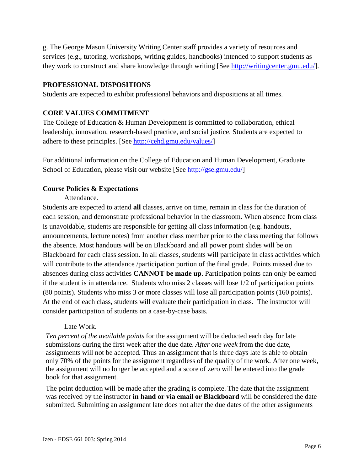g. The George Mason University Writing Center staff provides a variety of resources and services (e.g., tutoring, workshops, writing guides, handbooks) intended to support students as they work to construct and share knowledge through writing [See [http://writingcenter.gmu.edu/\]](http://writingcenter.gmu.edu/).

#### **PROFESSIONAL DISPOSITIONS**

Students are expected to exhibit professional behaviors and dispositions at all times.

# **CORE VALUES COMMITMENT**

The College of Education & Human Development is committed to collaboration, ethical leadership, innovation, research-based practice, and social justice. Students are expected to adhere to these principles. [See [http://cehd.gmu.edu/values/\]](http://cehd.gmu.edu/values/)

For additional information on the College of Education and Human Development, Graduate School of Education, please visit our website [See [http://gse.gmu.edu/\]](http://gse.gmu.edu/)

# **Course Policies & Expectations**

Attendance.

Students are expected to attend **all** classes, arrive on time, remain in class for the duration of each session, and demonstrate professional behavior in the classroom. When absence from class is unavoidable, students are responsible for getting all class information (e.g. handouts, announcements, lecture notes) from another class member prior to the class meeting that follows the absence. Most handouts will be on Blackboard and all power point slides will be on Blackboard for each class session. In all classes, students will participate in class activities which will contribute to the attendance /participation portion of the final grade. Points missed due to absences during class activities **CANNOT be made up**. Participation points can only be earned if the student is in attendance. Students who miss 2 classes will lose 1/2 of participation points (80 points). Students who miss 3 or more classes will lose all participation points (160 points). At the end of each class, students will evaluate their participation in class. The instructor will consider participation of students on a case-by-case basis.

#### Late Work.

*Ten percent of the available points* for the assignment will be deducted each day for late submissions during the first week after the due date. *After one week* from the due date, assignments will not be accepted*.* Thus an assignment that is three days late is able to obtain only 70% of the points for the assignment regardless of the quality of the work. After one week, the assignment will no longer be accepted and a score of zero will be entered into the grade book for that assignment.

The point deduction will be made after the grading is complete. The date that the assignment was received by the instructor **in hand or via email or Blackboard** will be considered the date submitted. Submitting an assignment late does not alter the due dates of the other assignments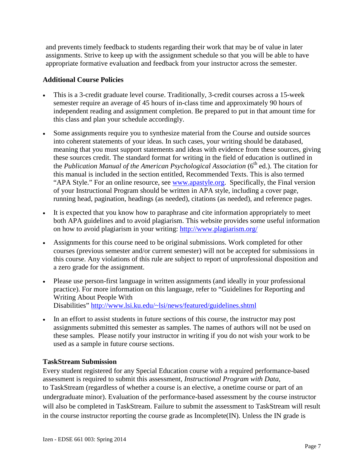and prevents timely feedback to students regarding their work that may be of value in later assignments. Strive to keep up with the assignment schedule so that you will be able to have appropriate formative evaluation and feedback from your instructor across the semester.

### **Additional Course Policies**

- This is a 3-credit graduate level course. Traditionally, 3-credit courses across a 15-week semester require an average of 45 hours of in-class time and approximately 90 hours of independent reading and assignment completion. Be prepared to put in that amount time for this class and plan your schedule accordingly.
- Some assignments require you to synthesize material from the Course and outside sources into coherent statements of your ideas. In such cases, your writing should be databased, meaning that you must support statements and ideas with evidence from these sources, giving these sources credit. The standard format for writing in the field of education is outlined in the *Publication Manual of the American Psychological Association* (6<sup>th</sup> ed.). The citation for this manual is included in the section entitled, Recommended Texts. This is also termed "APA Style." For an online resource, see [www.apastyle.org.](http://www.apastyle.org/) Specifically, the Final version of your Instructional Program should be written in APA style, including a cover page, running head, pagination, headings (as needed), citations (as needed), and reference pages.
- It is expected that you know how to paraphrase and cite information appropriately to meet both APA guidelines and to avoid plagiarism. This website provides some useful information on how to avoid plagiarism in your writing:<http://www.plagiarism.org/>
- Assignments for this course need to be original submissions. Work completed for other courses (previous semester and/or current semester) will not be accepted for submissions in this course. Any violations of this rule are subject to report of unprofessional disposition and a zero grade for the assignment.
- Please use person-first language in written assignments (and ideally in your professional practice). For more information on this language, refer to "Guidelines for Reporting and Writing About People With Disabilities"<http://www.lsi.ku.edu/~lsi/news/featured/guidelines.shtml>
- In an effort to assist students in future sections of this course, the instructor may post assignments submitted this semester as samples. The names of authors will not be used on these samples. Please notify your instructor in writing if you do not wish your work to be used as a sample in future course sections.

# **TaskStream Submission**

Every student registered for any Special Education course with a required performance-based assessment is required to submit this assessment, *Instructional Program with Data*, to TaskStream (regardless of whether a course is an elective, a onetime course or part of an undergraduate minor). Evaluation of the performance-based assessment by the course instructor will also be completed in TaskStream. Failure to submit the assessment to TaskStream will result in the course instructor reporting the course grade as Incomplete(IN). Unless the IN grade is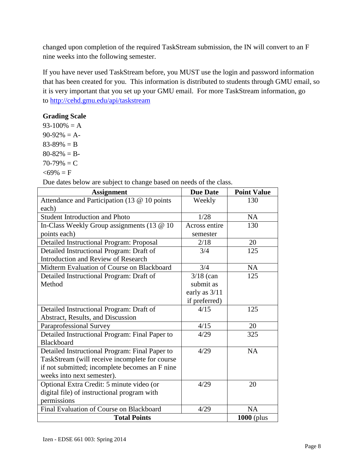changed upon completion of the required TaskStream submission, the IN will convert to an F nine weeks into the following semester.

If you have never used TaskStream before, you MUST use the login and password information that has been created for you. This information is distributed to students through GMU email, so it is very important that you set up your GMU email. For more TaskStream information, go to<http://cehd.gmu.edu/api/taskstream>

# **Grading Scale**

 $93-100\% = A$  $90-92\% = A$  $83-89\% = B$  $80-82\% = B$  $70-79\% = C$  $<$ 69% = F

Due dates below are subject to change based on needs of the class.

| <b>Assignment</b>                              | <b>Due Date</b> | <b>Point Value</b> |
|------------------------------------------------|-----------------|--------------------|
| Attendance and Participation (13 @ 10 points   | Weekly          | 130                |
| each)                                          |                 |                    |
| <b>Student Introduction and Photo</b>          | 1/28            | <b>NA</b>          |
| In-Class Weekly Group assignments (13 @ 10     | Across entire   | 130                |
| points each)                                   | semester        |                    |
| Detailed Instructional Program: Proposal       | 2/18            | 20                 |
| Detailed Instructional Program: Draft of       | 3/4             | 125                |
| <b>Introduction and Review of Research</b>     |                 |                    |
| Midterm Evaluation of Course on Blackboard     | 3/4             | <b>NA</b>          |
| Detailed Instructional Program: Draft of       | $3/18$ (can     | 125                |
| Method                                         | submit as       |                    |
|                                                | early as $3/11$ |                    |
|                                                | if preferred)   |                    |
| Detailed Instructional Program: Draft of       | 4/15            | 125                |
| Abstract, Results, and Discussion              |                 |                    |
| Paraprofessional Survey                        | 4/15            | 20                 |
| Detailed Instructional Program: Final Paper to | 4/29            | 325                |
| <b>Blackboard</b>                              |                 |                    |
| Detailed Instructional Program: Final Paper to | 4/29            | <b>NA</b>          |
| TaskStream (will receive incomplete for course |                 |                    |
| if not submitted; incomplete becomes an F nine |                 |                    |
| weeks into next semester).                     |                 |                    |
| Optional Extra Credit: 5 minute video (or      | 4/29            | 20                 |
| digital file) of instructional program with    |                 |                    |
| permissions                                    |                 |                    |
| Final Evaluation of Course on Blackboard       | 4/29            | NA                 |
| <b>Total Points</b>                            |                 | $1000$ (plus       |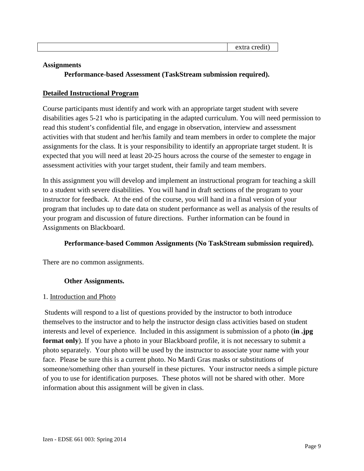| . .<br>ш |  |
|----------|--|
|          |  |

#### **Assignments**

**Performance-based Assessment (TaskStream submission required).**

### **Detailed Instructional Program**

Course participants must identify and work with an appropriate target student with severe disabilities ages 5-21 who is participating in the adapted curriculum. You will need permission to read this student's confidential file, and engage in observation, interview and assessment activities with that student and her/his family and team members in order to complete the major assignments for the class. It is your responsibility to identify an appropriate target student. It is expected that you will need at least 20-25 hours across the course of the semester to engage in assessment activities with your target student, their family and team members.

In this assignment you will develop and implement an instructional program for teaching a skill to a student with severe disabilities. You will hand in draft sections of the program to your instructor for feedback. At the end of the course, you will hand in a final version of your program that includes up to date data on student performance as well as analysis of the results of your program and discussion of future directions. Further information can be found in Assignments on Blackboard.

#### **Performance-based Common Assignments (No TaskStream submission required).**

There are no common assignments.

#### **Other Assignments.**

#### 1. Introduction and Photo

Students will respond to a list of questions provided by the instructor to both introduce themselves to the instructor and to help the instructor design class activities based on student interests and level of experience. Included in this assignment is submission of a photo (**in .jpg format only**). If you have a photo in your Blackboard profile, it is not necessary to submit a photo separately. Your photo will be used by the instructor to associate your name with your face. Please be sure this is a current photo. No Mardi Gras masks or substitutions of someone/something other than yourself in these pictures. Your instructor needs a simple picture of you to use for identification purposes. These photos will not be shared with other. More information about this assignment will be given in class.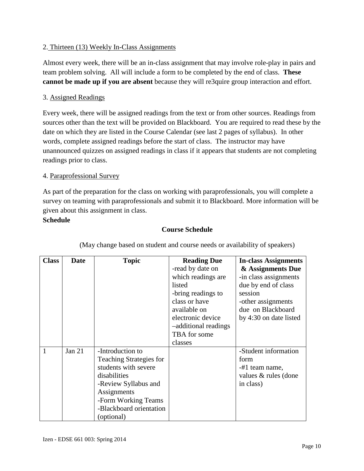# 2. Thirteen (13) Weekly In-Class Assignments

Almost every week, there will be an in-class assignment that may involve role-play in pairs and team problem solving. All will include a form to be completed by the end of class. **These cannot be made up if you are absent** because they will re3quire group interaction and effort.

# 3. Assigned Readings

Every week, there will be assigned readings from the text or from other sources. Readings from sources other than the text will be provided on Blackboard. You are required to read these by the date on which they are listed in the Course Calendar (see last 2 pages of syllabus). In other words, complete assigned readings before the start of class. The instructor may have unannounced quizzes on assigned readings in class if it appears that students are not completing readings prior to class.

# 4. Paraprofessional Survey

As part of the preparation for the class on working with paraprofessionals, you will complete a survey on teaming with paraprofessionals and submit it to Blackboard. More information will be given about this assignment in class.

# **Schedule**

# **Course Schedule**

| <b>Class</b> | <b>Date</b> | <b>Topic</b>                   | <b>Reading Due</b>   | <b>In-class Assignments</b> |
|--------------|-------------|--------------------------------|----------------------|-----------------------------|
|              |             |                                | -read by date on     | & Assignments Due           |
|              |             |                                | which readings are.  | -in class assignments       |
|              |             |                                | listed               | due by end of class         |
|              |             |                                | -bring readings to   | session                     |
|              |             |                                | class or have        | -other assignments          |
|              |             |                                | available on         | due on Blackboard           |
|              |             |                                | electronic device    | by 4:30 on date listed      |
|              |             |                                | -additional readings |                             |
|              |             |                                | TBA for some         |                             |
|              |             |                                | classes              |                             |
|              | Jan $21$    | -Introduction to               |                      | -Student information        |
|              |             | <b>Teaching Strategies for</b> |                      | form                        |
|              |             | students with severe           |                      | -#1 team name,              |
|              |             | disabilities                   |                      | values & rules (done        |
|              |             | -Review Syllabus and           |                      | in class)                   |
|              |             | Assignments                    |                      |                             |
|              |             | -Form Working Teams            |                      |                             |
|              |             | -Blackboard orientation        |                      |                             |
|              |             | (optional)                     |                      |                             |

(May change based on student and course needs or availability of speakers)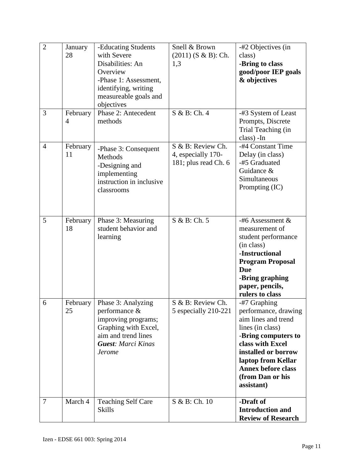| $\overline{2}$<br>3 | January<br>28<br>February | -Educating Students<br>with Severe<br>Disabilities: An<br>Overview<br>-Phase 1: Assessment,<br>identifying, writing<br>measureable goals and<br>objectives<br>Phase 2: Antecedent | Snell & Brown<br>$(2011)$ (S & B): Ch.<br>1,3<br>S & B: Ch. 4   | -#2 Objectives (in<br>class)<br>-Bring to class<br>good/poor IEP goals<br>& objectives<br>-#3 System of Least                                                                                                                          |
|---------------------|---------------------------|-----------------------------------------------------------------------------------------------------------------------------------------------------------------------------------|-----------------------------------------------------------------|----------------------------------------------------------------------------------------------------------------------------------------------------------------------------------------------------------------------------------------|
|                     | 4                         | methods                                                                                                                                                                           |                                                                 | Prompts, Discrete<br>Trial Teaching (in<br>class) - In                                                                                                                                                                                 |
| $\overline{4}$      | February<br>11            | -Phase 3: Consequent<br>Methods<br>-Designing and<br>implementing<br>instruction in inclusive<br>classrooms                                                                       | S & B: Review Ch.<br>4, especially 170-<br>181; plus read Ch. 6 | -#4 Constant Time<br>Delay (in class)<br>-#5 Graduated<br>Guidance &<br>Simultaneous<br>Prompting (IC)                                                                                                                                 |
| 5                   | February<br>18            | Phase 3: Measuring<br>student behavior and<br>learning                                                                                                                            | S & B: Ch. 5                                                    | $-#6$ Assessment &<br>measurement of<br>student performance<br>(in class)<br>-Instructional<br><b>Program Proposal</b><br><b>Due</b><br>-Bring graphing<br>paper, pencils,<br>rulers to class                                          |
| 6                   | February<br>25            | Phase 3: Analyzing<br>performance $\&$<br>improving programs;<br>Graphing with Excel,<br>aim and trend lines<br><b>Guest: Marci Kinas</b><br><b>Jerome</b>                        | S & B: Review Ch.<br>5 especially 210-221                       | -#7 Graphing<br>performance, drawing<br>aim lines and trend<br>lines (in class)<br>-Bring computers to<br>class with Excel<br>installed or borrow<br>laptop from Kellar<br><b>Annex before class</b><br>(from Dan or his<br>assistant) |
| $\tau$              | March 4                   | <b>Teaching Self Care</b><br><b>Skills</b>                                                                                                                                        | S & B: Ch. 10                                                   | -Draft of<br><b>Introduction and</b><br><b>Review of Research</b>                                                                                                                                                                      |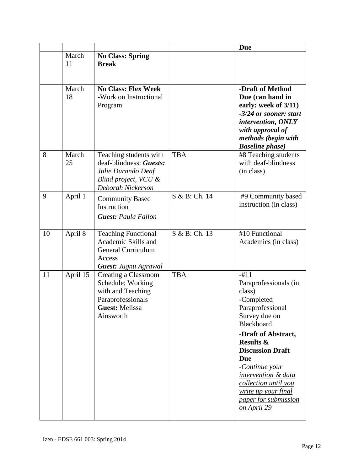|    |             |                                                                                                                           |               | <b>Due</b>                                                                                                                                                                                                                                                                                                                               |
|----|-------------|---------------------------------------------------------------------------------------------------------------------------|---------------|------------------------------------------------------------------------------------------------------------------------------------------------------------------------------------------------------------------------------------------------------------------------------------------------------------------------------------------|
|    | March<br>11 | <b>No Class: Spring</b><br><b>Break</b>                                                                                   |               |                                                                                                                                                                                                                                                                                                                                          |
|    | March<br>18 | <b>No Class: Flex Week</b><br>-Work on Instructional<br>Program                                                           |               | -Draft of Method<br>Due (can hand in<br>early: week of 3/11)<br>-3/24 or sooner: start<br>intervention, ONLY<br>with approval of<br>methods (begin with<br><b>Baseline phase</b> )                                                                                                                                                       |
| 8  | March<br>25 | Teaching students with<br>deaf-blindness: Guests:<br>Julie Durando Deaf<br>Blind project, VCU &<br>Deborah Nickerson      | <b>TBA</b>    | #8 Teaching students<br>with deaf-blindness<br>(in class)                                                                                                                                                                                                                                                                                |
| 9  | April 1     | <b>Community Based</b><br>Instruction<br><b>Guest: Paula Fallon</b>                                                       | S & B: Ch. 14 | #9 Community based<br>instruction (in class)                                                                                                                                                                                                                                                                                             |
| 10 | April 8     | <b>Teaching Functional</b><br>Academic Skills and<br><b>General Curriculum</b><br>Access<br><b>Guest: Jugnu Agrawal</b>   | S & B: Ch. 13 | #10 Functional<br>Academics (in class)                                                                                                                                                                                                                                                                                                   |
| 11 | April 15    | Creating a Classroom<br>Schedule; Working<br>with and Teaching<br>Paraprofessionals<br><b>Guest: Melissa</b><br>Ainsworth | <b>TBA</b>    | $-#11$<br>Paraprofessionals (in<br>class)<br>-Completed<br>Paraprofessional<br>Survey due on<br><b>Blackboard</b><br>-Draft of Abstract,<br><b>Results &amp;</b><br><b>Discussion Draft</b><br><b>Due</b><br>-Continue your<br>intervention & data<br>collection until you<br>write up your final<br>paper for submission<br>on April 29 |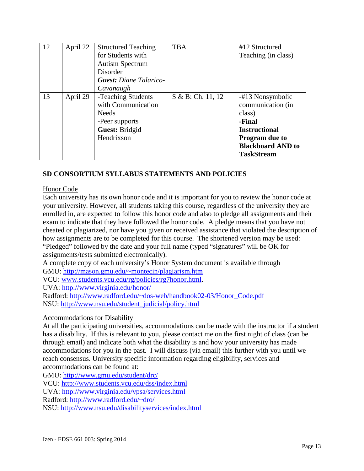| 12 | April 22 | <b>Structured Teaching</b>    | <b>TBA</b>        | #12 Structured           |
|----|----------|-------------------------------|-------------------|--------------------------|
|    |          | for Students with             |                   | Teaching (in class)      |
|    |          | <b>Autism Spectrum</b>        |                   |                          |
|    |          | Disorder                      |                   |                          |
|    |          | <b>Guest:</b> Diane Talarico- |                   |                          |
|    |          | Cavanaugh                     |                   |                          |
| 13 | April 29 | -Teaching Students            | S & B: Ch. 11, 12 | -#13 Nonsymbolic         |
|    |          | with Communication            |                   | communication (in        |
|    |          | <b>Needs</b>                  |                   | class)                   |
|    |          | -Peer supports                |                   | -Final                   |
|    |          | Guest: Bridgid                |                   | <b>Instructional</b>     |
|    |          | Hendrixson                    |                   | <b>Program due to</b>    |
|    |          |                               |                   | <b>Blackboard AND to</b> |
|    |          |                               |                   | <b>TaskStream</b>        |

# **SD CONSORTIUM SYLLABUS STATEMENTS AND POLICIES**

### Honor Code

Each university has its own honor code and it is important for you to review the honor code at your university. However, all students taking this course, regardless of the university they are enrolled in, are expected to follow this honor code and also to pledge all assignments and their exam to indicate that they have followed the honor code. A pledge means that you have not cheated or plagiarized, nor have you given or received assistance that violated the description of how assignments are to be completed for this course. The shortened version may be used: "Pledged" followed by the date and your full name (typed "signatures" will be OK for assignments/tests submitted electronically).

A complete copy of each university's Honor System document is available through GMU:<http://mason.gmu.edu/~montecin/plagiarism.htm>

VCU: [www.students.vcu.edu/rg/policies/rg7honor.html.](http://www.students.vcu.edu/rg/policies/rg7honor.html)

UVA:<http://www.virginia.edu/honor/>

Radford: [http://www.radford.edu/~dos-web/handbook02-03/Honor\\_Code.pdf](http://www.radford.edu/~dos-web/handbook02-03/Honor_Code.pdf) NSU: [http://www.nsu.edu/student\\_judicial/policy.html](http://www.nsu.edu/student_judicial/policy.html)

# Accommodations for Disability

At all the participating universities, accommodations can be made with the instructor if a student has a disability. If this is relevant to you, please contact me on the first night of class (can be through email) and indicate both what the disability is and how your university has made accommodations for you in the past. I will discuss (via email) this further with you until we reach consensus. University specific information regarding eligibility, services and accommodations can be found at:

GMU:<http://www.gmu.edu/student/drc/>

VCU:<http://www.students.vcu.edu/dss/index.html>

UVA:<http://www.virginia.edu/vpsa/services.html>

Radford:<http://www.radford.edu/~dro/>

NSU:<http://www.nsu.edu/disabilityservices/index.html>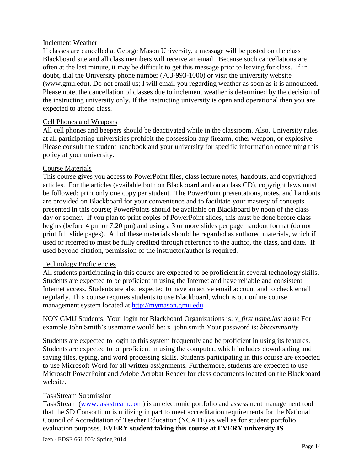#### Inclement Weather

If classes are cancelled at George Mason University, a message will be posted on the class Blackboard site and all class members will receive an email. Because such cancellations are often at the last minute, it may be difficult to get this message prior to leaving for class. If in doubt, dial the University phone number (703-993-1000) or visit the university website (www.gmu.edu). Do not email us; I will email you regarding weather as soon as it is announced. Please note, the cancellation of classes due to inclement weather is determined by the decision of the instructing university only. If the instructing university is open and operational then you are expected to attend class.

#### Cell Phones and Weapons

All cell phones and beepers should be deactivated while in the classroom. Also, University rules at all participating universities prohibit the possession any firearm, other weapon, or explosive. Please consult the student handbook and your university for specific information concerning this policy at your university.

#### Course Materials

This course gives you access to PowerPoint files, class lecture notes, handouts, and copyrighted articles. For the articles (available both on Blackboard and on a class CD), copyright laws must be followed: print only one copy per student. The PowerPoint presentations, notes, and handouts are provided on Blackboard for your convenience and to facilitate your mastery of concepts presented in this course; PowerPoints should be available on Blackboard by noon of the class day or sooner. If you plan to print copies of PowerPoint slides, this must be done before class begins (before 4 pm or 7:20 pm) and using a 3 or more slides per page handout format (do not print full slide pages). All of these materials should be regarded as authored materials, which if used or referred to must be fully credited through reference to the author, the class, and date. If used beyond citation, permission of the instructor/author is required.

#### Technology Proficiencies

All students participating in this course are expected to be proficient in several technology skills. Students are expected to be proficient in using the Internet and have reliable and consistent Internet access. Students are also expected to have an active email account and to check email regularly. This course requires students to use Blackboard, which is our online course management system located at [http://mymason.gmu.edu](http://mymason.gmu.edu/) 

NON GMU Students: Your login for Blackboard Organizations is: *x\_first name.last name* For example John Smith's username would be: x\_john.smith Your password is: *bbcommunity*

Students are expected to login to this system frequently and be proficient in using its features. Students are expected to be proficient in using the computer, which includes downloading and saving files, typing, and word processing skills. Students participating in this course are expected to use Microsoft Word for all written assignments. Furthermore, students are expected to use Microsoft PowerPoint and Adobe Acrobat Reader for class documents located on the Blackboard website.

#### TaskStream Submission

TaskStream [\(www.taskstream.com\)](http://www.taskstream.com/) is an electronic portfolio and assessment management tool that the SD Consortium is utilizing in part to meet accreditation requirements for the National Council of Accreditation of Teacher Education (NCATE) as well as for student portfolio evaluation purposes. **EVERY student taking this course at EVERY university IS** 

Izen - EDSE 661 003: Spring 2014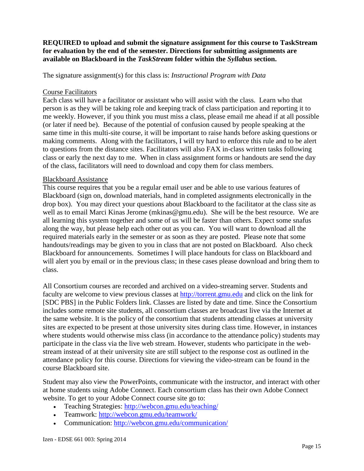#### **REQUIRED to upload and submit the signature assignment for this course to TaskStream for evaluation by the end of the semester. Directions for submitting assignments are available on Blackboard in the** *TaskStream* **folder within the** *Syllabus* **section.**

The signature assignment(s) for this class is: *Instructional Program with Data*

#### Course Facilitators

Each class will have a facilitator or assistant who will assist with the class. Learn who that person is as they will be taking role and keeping track of class participation and reporting it to me weekly. However, if you think you must miss a class, please email me ahead if at all possible (or later if need be). Because of the potential of confusion caused by people speaking at the same time in this multi-site course, it will be important to raise hands before asking questions or making comments. Along with the facilitators, I will try hard to enforce this rule and to be alert to questions from the distance sites. Facilitators will also FAX in-class written tasks following class or early the next day to me. When in class assignment forms or handouts are send the day of the class, facilitators will need to download and copy them for class members.

### Blackboard Assistance

This course requires that you be a regular email user and be able to use various features of Blackboard (sign on, download materials, hand in completed assignments electronically in the drop box). You may direct your questions about Blackboard to the facilitator at the class site as well as to email Marci Kinas Jerome (mkinas@gmu.edu). She will be the best resource. We are all learning this system together and some of us will be faster than others. Expect some snafus along the way, but please help each other out as you can. You will want to download all the required materials early in the semester or as soon as they are posted. Please note that some handouts/readings may be given to you in class that are not posted on Blackboard. Also check Blackboard for announcements. Sometimes I will place handouts for class on Blackboard and will alert you by email or in the previous class; in these cases please download and bring them to class.

All Consortium courses are recorded and archived on a video-streaming server. Students and faculty are welcome to view previous classes at [http://torrent.gmu.edu](http://torrent.gmu.edu/) and click on the link for [SDC PBS] in the Public Folders link. Classes are listed by date and time. Since the Consortium includes some remote site students, all consortium classes are broadcast live via the Internet at the same website. It is the policy of the consortium that students attending classes at university sites are expected to be present at those university sites during class time. However, in instances where students would otherwise miss class (in accordance to the attendance policy) students may participate in the class via the live web stream. However, students who participate in the webstream instead of at their university site are still subject to the response cost as outlined in the attendance policy for this course. Directions for viewing the video-stream can be found in the course Blackboard site.

Student may also view the PowerPoints, communicate with the instructor, and interact with other at home students using Adobe Connect. Each consortium class has their own Adobe Connect website. To get to your Adobe Connect course site go to:

- Teaching Strategies:<http://webcon.gmu.edu/teaching/>
- Teamwork:<http://webcon.gmu.edu/teamwork/>
- Communication:<http://webcon.gmu.edu/communication/>